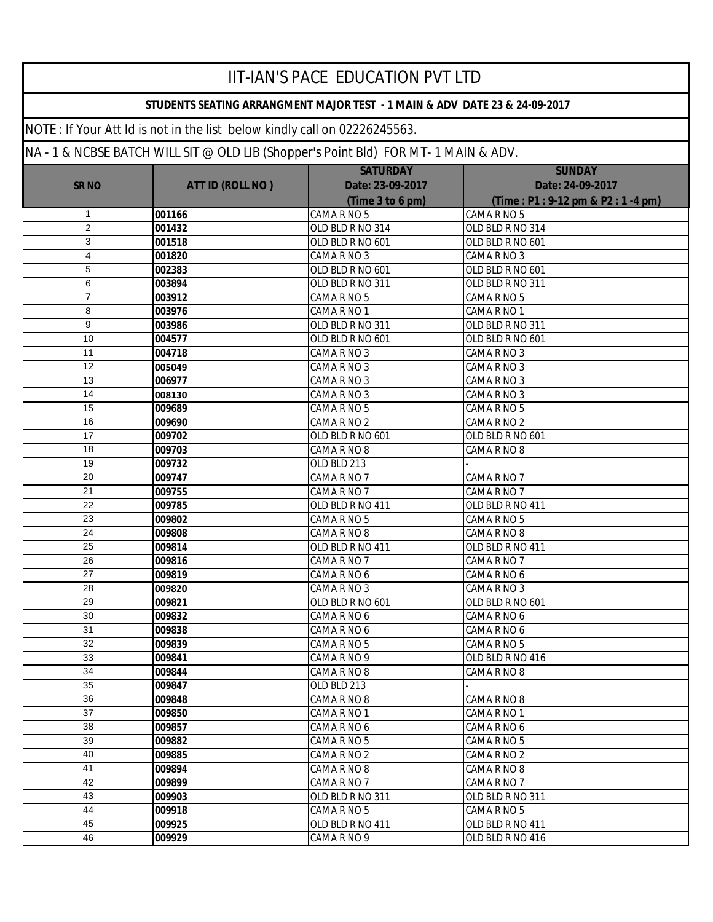|                 |                                                                           | <b>IIT-IAN'S PACE EDUCATION PVT LTD</b>                                         |                                  |
|-----------------|---------------------------------------------------------------------------|---------------------------------------------------------------------------------|----------------------------------|
|                 |                                                                           | STUDENTS SEATING ARRANGMENT MAJOR TEST - 1 MAIN & ADV DATE 23 & 24-09-2017      |                                  |
|                 | NOTE: If Your Att Id is not in the list below kindly call on 02226245563. |                                                                                 |                                  |
|                 |                                                                           | NA-1& NCBSE BATCH WILL SIT @ OLD LIB (Shopper's Point Bld) FOR MT-1 MAIN & ADV. |                                  |
|                 |                                                                           | <b>SATURDAY</b>                                                                 | <b>SUNDAY</b>                    |
| <b>SR NO</b>    | <b>ATT ID (ROLL NO)</b>                                                   | Date: 23-09-2017                                                                | Date: 24-09-2017                 |
|                 |                                                                           | (Time 3 to 6 pm)                                                                | (Time: P1: 9-12 pm & P2: 1-4 pm) |
| 1               | 001166                                                                    | CAMA R NO 5                                                                     | CAMA R NO 5                      |
| $\overline{2}$  | 001432                                                                    | OLD BLD R NO 314                                                                | OLD BLD R NO 314                 |
| 3               | 001518                                                                    | OLD BLD R NO 601                                                                | OLD BLD R NO 601                 |
| 4               | 001820                                                                    | CAMA R NO 3                                                                     | CAMA R NO 3                      |
| 5               | 002383                                                                    | OLD BLD R NO 601                                                                | OLD BLD R NO 601                 |
| 6               | 003894                                                                    | OLD BLD R NO 311                                                                | OLD BLD R NO 311                 |
| 7               | 003912                                                                    | CAMA R NO 5                                                                     | CAMA R NO 5                      |
| 8               | 003976                                                                    | CAMA R NO 1                                                                     | CAMA R NO 1                      |
| 9               | 003986                                                                    | OLD BLD R NO 311                                                                | OLD BLD R NO 311                 |
| 10              | 004577                                                                    | OLD BLD R NO 601                                                                | OLD BLD R NO 601                 |
| 11              | 004718                                                                    | CAMA R NO 3                                                                     | CAMA R NO 3                      |
| 12              | 005049                                                                    | CAMA R NO 3                                                                     | CAMA R NO 3                      |
| 13              | 006977                                                                    | CAMA R NO 3                                                                     | CAMA R NO 3                      |
| 14              | 008130                                                                    | CAMA R NO 3                                                                     | CAMA R NO 3                      |
| 15              | 009689                                                                    | CAMA R NO 5                                                                     | CAMA R NO 5                      |
| 16              | 009690                                                                    | CAMA R NO 2                                                                     | CAMA R NO 2                      |
| 17              | 009702                                                                    | OLD BLD R NO 601                                                                | OLD BLD R NO 601                 |
| 18              | 009703                                                                    | CAMA R NO 8                                                                     | CAMA R NO 8                      |
| 19              | 009732                                                                    | OLD BLD 213                                                                     |                                  |
| 20              | 009747                                                                    | CAMA R NO 7                                                                     | CAMA R NO 7                      |
| 21              | 009755                                                                    | CAMA R NO 7                                                                     | CAMA R NO 7                      |
| 22              | 009785                                                                    | OLD BLD R NO 411                                                                | OLD BLD R NO 411                 |
| 23              | 009802                                                                    | CAMA R NO 5                                                                     | CAMA R NO 5                      |
| 24              | 009808                                                                    | CAMA R NO 8                                                                     | CAMA R NO 8                      |
| 25              | 009814                                                                    | OLD BLD R NO 411                                                                | OLD BLD R NO 411                 |
| 26              | 009816                                                                    | CAMA R NO 7                                                                     | CAMA R NO 7                      |
| $\overline{27}$ | 009819                                                                    | CAMA R NO 6                                                                     | CAMA R NO 6                      |
| 28              | 009820                                                                    | CAMA R NO 3                                                                     | CAMA R NO 3                      |
| 29              | 009821                                                                    | OLD BLD R NO 601                                                                | OLD BLD R NO 601                 |
| 30              | 009832                                                                    | CAMA R NO 6                                                                     | CAMA R NO 6                      |
| 31              | 009838                                                                    | CAMA R NO 6                                                                     | CAMA R NO 6                      |
| 32              | 009839                                                                    | CAMA R NO 5                                                                     | CAMA R NO 5                      |
| 33              | 009841                                                                    | CAMA R NO 9                                                                     | OLD BLD R NO 416                 |
| 34              | 009844                                                                    | CAMA R NO 8                                                                     | CAMA R NO 8                      |
| 35              | 009847                                                                    | OLD BLD 213                                                                     |                                  |
| 36              | 009848                                                                    | CAMA R NO 8                                                                     | CAMA R NO 8                      |
| 37              | 009850                                                                    | CAMA R NO 1                                                                     | CAMA R NO 1                      |
| 38              | 009857                                                                    | CAMA R NO 6                                                                     | CAMA R NO 6                      |
| 39              | 009882                                                                    | CAMA R NO 5                                                                     | CAMA R NO 5                      |
| 40              | 009885                                                                    | CAMA R NO 2                                                                     | CAMA R NO 2                      |
| 41              | 009894                                                                    | CAMA R NO 8                                                                     | CAMA R NO 8                      |
| 42              | 009899                                                                    | CAMA R NO 7                                                                     | CAMA R NO 7                      |
| 43              | 009903                                                                    | OLD BLD R NO 311                                                                | OLD BLD R NO 311                 |
| 44              | 009918                                                                    | CAMA R NO 5                                                                     | CAMA R NO 5                      |
| 45              | 009925                                                                    | OLD BLD R NO 411                                                                | OLD BLD R NO 411                 |
| 46              | 009929                                                                    | CAMA R NO 9                                                                     | OLD BLD R NO 416                 |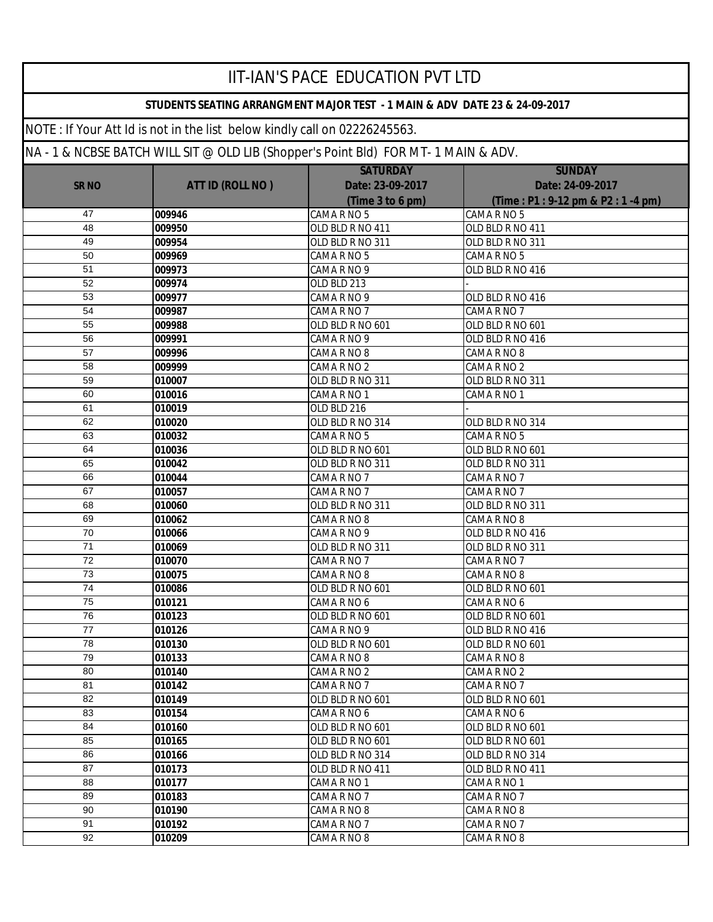|              |                                                                                 | <b>IIT-IAN'S PACE EDUCATION PVT LTD</b>                                    |                                  |
|--------------|---------------------------------------------------------------------------------|----------------------------------------------------------------------------|----------------------------------|
|              |                                                                                 | STUDENTS SEATING ARRANGMENT MAJOR TEST - 1 MAIN & ADV DATE 23 & 24-09-2017 |                                  |
|              | NOTE: If Your Att Id is not in the list below kindly call on 02226245563.       |                                                                            |                                  |
|              | NA-1& NCBSE BATCH WILL SIT @ OLD LIB (Shopper's Point Bld) FOR MT-1 MAIN & ADV. |                                                                            |                                  |
|              |                                                                                 | <b>SATURDAY</b>                                                            | <b>SUNDAY</b>                    |
| <b>SR NO</b> | <b>ATT ID (ROLL NO)</b>                                                         | Date: 23-09-2017                                                           | Date: 24-09-2017                 |
|              |                                                                                 | (Time 3 to 6 pm)                                                           | (Time: P1: 9-12 pm & P2: 1-4 pm) |
| 47           | 009946                                                                          | CAMA R NO 5                                                                | CAMA R NO 5                      |
| 48           | 009950                                                                          | OLD BLD R NO 411                                                           | OLD BLD R NO 411                 |
| 49           | 009954                                                                          | OLD BLD R NO 311                                                           | OLD BLD R NO 311                 |
| 50           | 009969                                                                          | CAMA R NO 5                                                                | CAMA R NO 5                      |
| 51           | 009973                                                                          | CAMA R NO 9                                                                | OLD BLD R NO 416                 |
| 52           | 009974                                                                          | OLD BLD 213                                                                |                                  |
| 53           | 009977                                                                          | CAMA R NO 9                                                                | OLD BLD R NO 416                 |
| 54           | 009987                                                                          | CAMA R NO 7                                                                | CAMA R NO 7                      |
| 55           | 009988                                                                          | OLD BLD R NO 601                                                           | OLD BLD R NO 601                 |
| 56           | 009991                                                                          | CAMA R NO 9                                                                | OLD BLD R NO 416                 |
| 57           | 009996                                                                          | CAMARNO <sub>8</sub>                                                       | CAMA R NO 8                      |
| 58           | 009999                                                                          | CAMA R NO 2                                                                | CAMA R NO 2                      |
| 59           | 010007                                                                          | OLD BLD R NO 311                                                           | OLD BLD R NO 311                 |
| 60           | 010016                                                                          | CAMA R NO 1                                                                | CAMA R NO 1                      |
| 61           | 010019                                                                          | OLD BLD 216                                                                |                                  |
| 62           | 010020                                                                          | OLD BLD R NO 314                                                           | OLD BLD R NO 314                 |
| 63           | 010032                                                                          | CAMA R NO 5                                                                | CAMA R NO 5                      |
| 64           | 010036                                                                          | OLD BLD R NO 601                                                           | OLD BLD R NO 601                 |
| 65           | 010042                                                                          | OLD BLD R NO 311                                                           | OLD BLD R NO 311                 |
| 66           | 010044                                                                          | CAMA R NO 7                                                                | CAMA R NO 7                      |
| 67<br>68     | 010057                                                                          | CAMA R NO 7                                                                | CAMA R NO 7                      |
| 69           | 010060<br>010062                                                                | OLD BLD R NO 311<br>CAMA R NO 8                                            | OLD BLD R NO 311<br>CAMA R NO 8  |
| 70           | 010066                                                                          | CAMA R NO 9                                                                | OLD BLD R NO 416                 |
| 71           | 010069                                                                          | OLD BLD R NO 311                                                           | OLD BLD R NO 311                 |
| 72           | 010070                                                                          | CAMA R NO 7                                                                | CAMA R NO 7                      |
| 73           | 010075                                                                          | CAMA R NO 8                                                                | CAMA R NO 8                      |
| 74           | 010086                                                                          | OLD BLD R NO 601                                                           | OLD BLD R NO 601                 |
| 75           | 010121                                                                          | CAMA R NO 6                                                                | CAMA R NO 6                      |
| 76           | 010123                                                                          | OLD BLD R NO 601                                                           | OLD BLD R NO 601                 |
| 77           | 010126                                                                          | CAMA R NO 9                                                                | OLD BLD R NO 416                 |
| 78           | 010130                                                                          | OLD BLD R NO 601                                                           | OLD BLD R NO 601                 |
| 79           | 010133                                                                          | CAMA R NO 8                                                                | CAMA R NO 8                      |
| 80           | 010140                                                                          | CAMA R NO 2                                                                | CAMA R NO 2                      |
| 81           | 010142                                                                          | CAMA R NO 7                                                                | CAMA R NO 7                      |
| 82           | 010149                                                                          | OLD BLD R NO 601                                                           | OLD BLD R NO 601                 |
| 83           | 010154                                                                          | CAMA R NO 6                                                                | CAMA R NO 6                      |
| 84           | 010160                                                                          | OLD BLD R NO 601                                                           | OLD BLD R NO 601                 |
| 85           | 010165                                                                          | OLD BLD R NO 601                                                           | OLD BLD R NO 601                 |
| 86           | 010166                                                                          | OLD BLD R NO 314                                                           | OLD BLD R NO 314                 |
| 87           | 010173                                                                          | OLD BLD R NO 411                                                           | OLD BLD R NO 411                 |
| 88           | 010177                                                                          | CAMA R NO 1                                                                | CAMA R NO 1                      |
| 89           | 010183                                                                          | CAMA R NO 7                                                                | CAMA R NO 7                      |
| 90           | 010190                                                                          | CAMA R NO 8                                                                | CAMA R NO 8                      |
| 91           | 010192                                                                          | CAMA R NO 7                                                                | CAMA R NO 7                      |
| 92           | 010209                                                                          | CAMA R NO 8                                                                | CAMA R NO 8                      |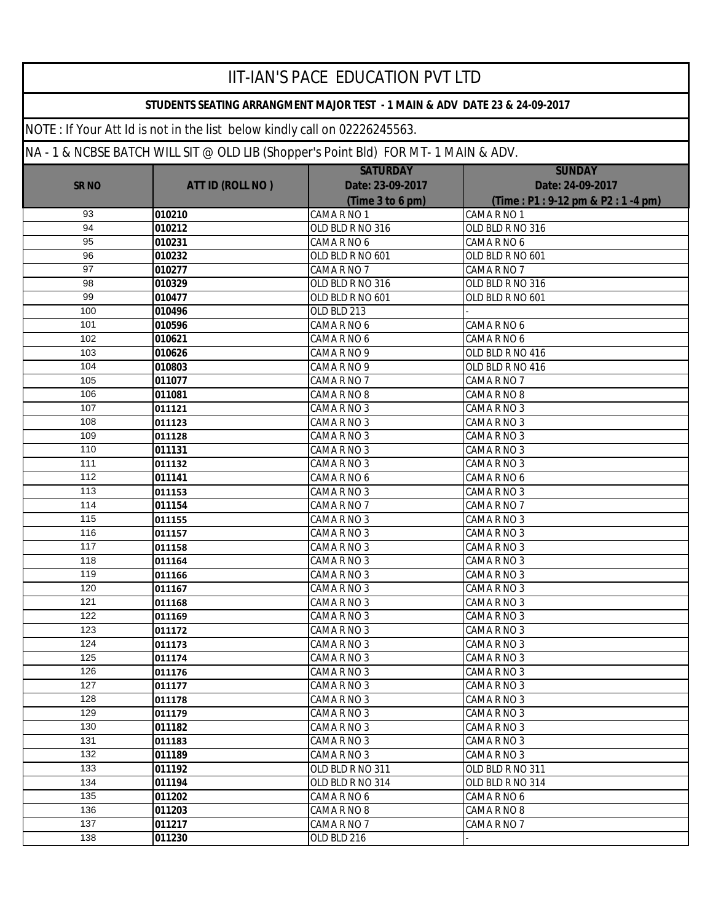|              |                                                                                     | <b>IIT-IAN'S PACE EDUCATION PVT LTD</b>                                    |                                                 |  |
|--------------|-------------------------------------------------------------------------------------|----------------------------------------------------------------------------|-------------------------------------------------|--|
|              |                                                                                     | STUDENTS SEATING ARRANGMENT MAJOR TEST - 1 MAIN & ADV DATE 23 & 24-09-2017 |                                                 |  |
|              | NOTE: If Your Att Id is not in the list below kindly call on 02226245563.           |                                                                            |                                                 |  |
|              | NA - 1 & NCBSE BATCH WILL SIT @ OLD LIB (Shopper's Point Bld) FOR MT- 1 MAIN & ADV. |                                                                            |                                                 |  |
|              |                                                                                     | <b>SATURDAY</b>                                                            | <b>SUNDAY</b>                                   |  |
| <b>SR NO</b> | <b>ATT ID (ROLL NO)</b>                                                             | Date: 23-09-2017                                                           | Date: 24-09-2017                                |  |
|              |                                                                                     | (Time 3 to 6 pm)                                                           | (Time: P1: 9-12 pm & P2: 1-4 pm)<br>CAMA R NO 1 |  |
| 93<br>94     | 010210<br>010212                                                                    | CAMA R NO 1<br>OLD BLD R NO 316                                            | OLD BLD R NO 316                                |  |
| 95           | 010231                                                                              | CAMA R NO 6                                                                | CAMA R NO 6                                     |  |
| 96           | 010232                                                                              | OLD BLD R NO 601                                                           | OLD BLD R NO 601                                |  |
| 97           | 010277                                                                              | CAMA R NO 7                                                                | CAMA R NO 7                                     |  |
| 98           | 010329                                                                              | OLD BLD R NO 316                                                           | OLD BLD R NO 316                                |  |
| 99           | 010477                                                                              | OLD BLD R NO 601                                                           | OLD BLD R NO 601                                |  |
| 100          | 010496                                                                              | OLD BLD 213                                                                |                                                 |  |
| 101          | 010596                                                                              | CAMA R NO 6                                                                | CAMA R NO 6                                     |  |
| 102          | 010621                                                                              | CAMA R NO 6                                                                | CAMA R NO 6                                     |  |
| 103          | 010626                                                                              | CAMA R NO 9                                                                | OLD BLD R NO 416                                |  |
| 104          | 010803                                                                              | CAMA R NO 9                                                                | OLD BLD R NO 416                                |  |
| 105          | 011077                                                                              | CAMA R NO 7                                                                | CAMA R NO 7                                     |  |
| 106          | 011081                                                                              | CAMA R NO 8                                                                | CAMA R NO 8                                     |  |
| 107          | 011121                                                                              | CAMA R NO 3                                                                | CAMA R NO 3                                     |  |
| 108          | 011123                                                                              | CAMA R NO 3                                                                | CAMA R NO 3                                     |  |
| 109          | 011128                                                                              | CAMA R NO 3                                                                | CAMA R NO 3                                     |  |
| 110          | 011131                                                                              | CAMA R NO 3                                                                | CAMA R NO 3                                     |  |
| 111          | 011132                                                                              | CAMA R NO 3                                                                | CAMA R NO 3                                     |  |
| 112          | 011141                                                                              | CAMA R NO 6                                                                | CAMA R NO 6                                     |  |
| 113          | 011153                                                                              | CAMA R NO 3                                                                | CAMA R NO 3                                     |  |
| 114          | 011154                                                                              | CAMA R NO 7                                                                | CAMA R NO 7                                     |  |
| 115          | 011155                                                                              | CAMA R NO 3                                                                | CAMA R NO 3                                     |  |
| 116          | 011157                                                                              | CAMA R NO 3                                                                | CAMA R NO 3                                     |  |
| 117          | 011158                                                                              | CAMA R NO 3                                                                | CAMA R NO 3                                     |  |
| 118          | 011164                                                                              | CAMA R NO 3                                                                | CAMA R NO 3                                     |  |
| 119          | 011166                                                                              | CAMA R NO 3                                                                | CAMA R NO 3                                     |  |
| 120          | 011167                                                                              | CAMA R NO 3                                                                | CAMA R NO 3                                     |  |
| 121          | 011168                                                                              | CAMA R NO 3                                                                | CAMA R NO 3                                     |  |
| 122          | 011169                                                                              | CAMA R NO 3                                                                | CAMA R NO 3                                     |  |
| 123          | 011172                                                                              | CAMA R NO 3                                                                | CAMA R NO 3                                     |  |
| 124          | 011173                                                                              | CAMA R NO 3                                                                | CAMA R NO 3                                     |  |
| 125          | 011174                                                                              | CAMA R NO 3                                                                | CAMA R NO 3                                     |  |
| 126          | 011176                                                                              | CAMA R NO 3                                                                | CAMA R NO 3                                     |  |
| 127          | 011177                                                                              | CAMA R NO 3                                                                | CAMA R NO 3                                     |  |
| 128          | 011178                                                                              | CAMA R NO 3                                                                | CAMA R NO 3                                     |  |
| 129          | 011179                                                                              | CAMA R NO 3                                                                | CAMA R NO 3                                     |  |
| 130          | 011182                                                                              | CAMA R NO 3                                                                | CAMA R NO 3                                     |  |
| 131          | 011183                                                                              | CAMA R NO 3                                                                | CAMA R NO 3                                     |  |
| 132          | 011189                                                                              | CAMA R NO 3                                                                | CAMA R NO 3                                     |  |
| 133          | 011192                                                                              | OLD BLD R NO 311                                                           | OLD BLD R NO 311                                |  |
| 134          | 011194                                                                              | OLD BLD R NO 314                                                           | OLD BLD R NO 314                                |  |
| 135          | 011202                                                                              | CAMA R NO 6                                                                | CAMA R NO 6                                     |  |
| 136          | 011203                                                                              | CAMA R NO 8                                                                | CAMA R NO 8                                     |  |
| 137          | 011217                                                                              | CAMA R NO 7                                                                | CAMA R NO 7                                     |  |
| 138          | 011230                                                                              | OLD BLD 216                                                                |                                                 |  |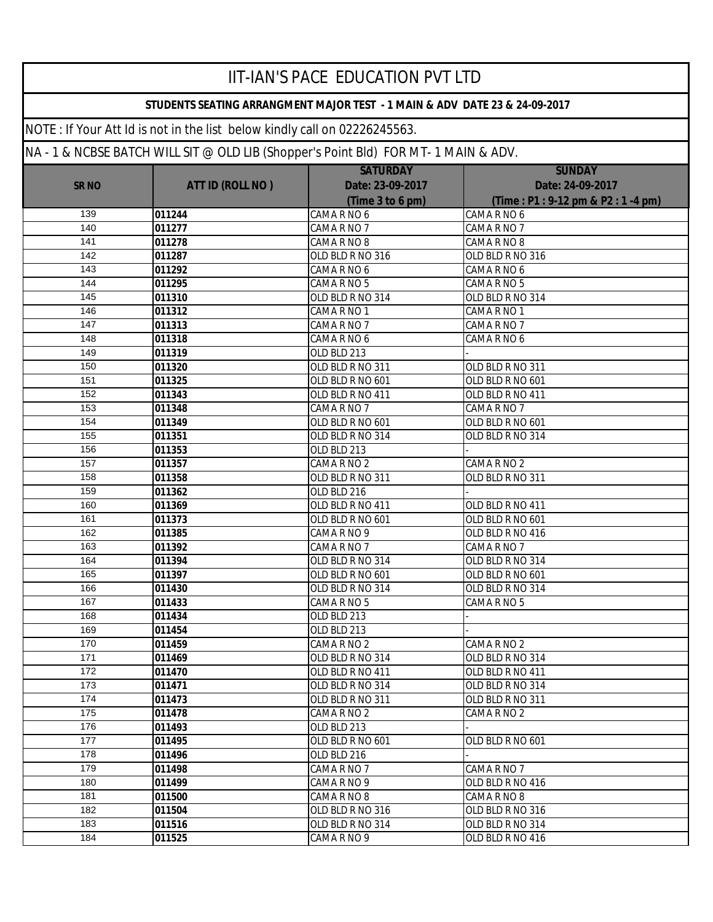|              |                                                                                     | <b>IIT-IAN'S PACE EDUCATION PVT LTD</b>                                    |                                  |
|--------------|-------------------------------------------------------------------------------------|----------------------------------------------------------------------------|----------------------------------|
|              |                                                                                     | STUDENTS SEATING ARRANGMENT MAJOR TEST - 1 MAIN & ADV DATE 23 & 24-09-2017 |                                  |
|              | NOTE: If Your Att Id is not in the list below kindly call on 02226245563.           |                                                                            |                                  |
|              | NA - 1 & NCBSE BATCH WILL SIT @ OLD LIB (Shopper's Point Bld) FOR MT- 1 MAIN & ADV. |                                                                            |                                  |
|              |                                                                                     | <b>SATURDAY</b>                                                            | <b>SUNDAY</b>                    |
| <b>SR NO</b> | <b>ATT ID (ROLL NO)</b>                                                             | Date: 23-09-2017                                                           | Date: 24-09-2017                 |
|              |                                                                                     | (Time 3 to 6 pm)                                                           | (Time: P1: 9-12 pm & P2: 1-4 pm) |
| 139          | 011244                                                                              | CAMA R NO 6                                                                | CAMA R NO 6                      |
| 140          | 011277                                                                              | CAMA R NO 7                                                                | CAMA R NO 7                      |
| 141          | 011278                                                                              | CAMA R NO 8                                                                | CAMA R NO 8                      |
| 142          | 011287                                                                              | OLD BLD R NO 316                                                           | OLD BLD R NO 316                 |
| 143          | 011292                                                                              | CAMA R NO 6                                                                | CAMA R NO 6                      |
| 144          | 011295                                                                              | CAMA R NO 5                                                                | CAMA R NO 5                      |
| 145          | 011310                                                                              | OLD BLD R NO 314                                                           | OLD BLD R NO 314                 |
| 146          | 011312                                                                              | CAMA R NO 1                                                                | CAMA R NO 1                      |
| 147          | 011313                                                                              | CAMA R NO 7                                                                | CAMA R NO 7                      |
| 148          | 011318                                                                              | CAMA R NO 6                                                                | CAMA R NO 6                      |
| 149          | 011319                                                                              | OLD BLD 213                                                                |                                  |
| 150          | 011320                                                                              | OLD BLD R NO 311                                                           | OLD BLD R NO 311                 |
| 151          | 011325                                                                              | OLD BLD R NO 601                                                           | OLD BLD R NO 601                 |
| 152          | 011343                                                                              | OLD BLD R NO 411                                                           | OLD BLD R NO 411                 |
| 153          | 011348                                                                              | CAMA R NO 7                                                                | CAMA R NO 7                      |
| 154          | 011349                                                                              | OLD BLD R NO 601                                                           | OLD BLD R NO 601                 |
| 155          | 011351                                                                              | OLD BLD R NO 314                                                           | OLD BLD R NO 314                 |
| 156          | 011353                                                                              | OLD BLD 213                                                                |                                  |
| 157          | 011357                                                                              | CAMA R NO 2                                                                | CAMA R NO 2                      |
| 158          | 011358                                                                              | OLD BLD R NO 311                                                           | OLD BLD R NO 311                 |
| 159          | 011362                                                                              | OLD BLD 216                                                                |                                  |
| 160          | 011369                                                                              | OLD BLD R NO 411                                                           | OLD BLD R NO 411                 |
| 161          | 011373                                                                              | OLD BLD R NO 601                                                           | OLD BLD R NO 601                 |
| 162          | 011385                                                                              | CAMA R NO 9                                                                | OLD BLD R NO 416                 |
| 163          | 011392                                                                              | CAMA R NO 7                                                                | CAMA R NO 7                      |
| 164          | 011394                                                                              | OLD BLD R NO 314                                                           | OLD BLD R NO 314                 |
| 165          | 011397                                                                              | OLD BLD R NO 601                                                           | OLD BLD R NO 601                 |
| 166          | 011430                                                                              | OLD BLD R NO 314                                                           | OLD BLD R NO 314                 |
| 167          | 011433                                                                              | CAMA R NO 5                                                                | CAMA R NO 5                      |
| 168          | 011434                                                                              | OLD BLD 213                                                                |                                  |
| 169          | 011454                                                                              | OLD BLD 213                                                                |                                  |
| 170          | 011459                                                                              | CAMA R NO 2                                                                | CAMA R NO 2                      |
| 171          | 011469                                                                              | OLD BLD R NO 314                                                           | OLD BLD R NO 314                 |
| 172          | 011470                                                                              | OLD BLD R NO 411                                                           | OLD BLD R NO 411                 |
| 173          | 011471                                                                              | OLD BLD R NO 314                                                           | OLD BLD R NO 314                 |
| 174          | 011473                                                                              | OLD BLD R NO 311                                                           | OLD BLD R NO 311                 |
| 175          | 011478                                                                              | CAMA R NO 2                                                                | CAMA R NO 2                      |
| 176          | 011493                                                                              | OLD BLD 213                                                                |                                  |
| 177          | 011495                                                                              | OLD BLD R NO 601                                                           | OLD BLD R NO 601                 |
| 178          | 011496                                                                              | OLD BLD 216                                                                |                                  |
| 179          | 011498                                                                              | CAMA R NO 7                                                                | CAMA R NO 7                      |
| 180          | 011499                                                                              | CAMA R NO 9                                                                | OLD BLD R NO 416                 |
| 181          | 011500                                                                              | CAMA R NO 8                                                                | CAMA R NO 8                      |
| 182          | 011504                                                                              | OLD BLD R NO 316                                                           | OLD BLD R NO 316                 |
| 183          | 011516                                                                              | OLD BLD R NO 314                                                           | OLD BLD R NO 314                 |
| 184          | 011525                                                                              | CAMA R NO 9                                                                | OLD BLD R NO 416                 |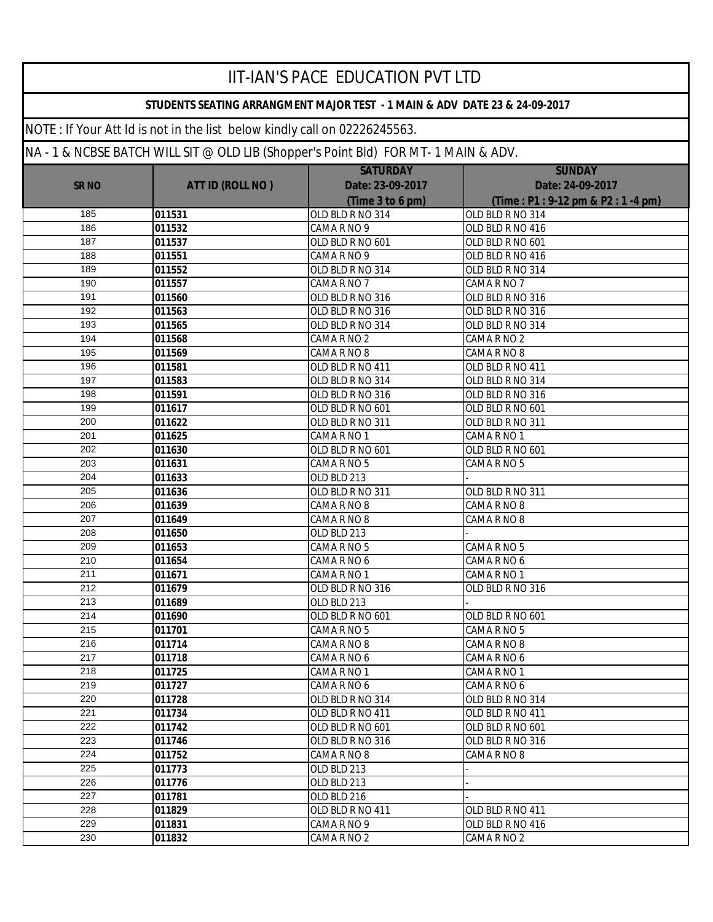|              |                                                                                 | <b>IIT-IAN'S PACE EDUCATION PVT LTD</b>                                    |                                  |
|--------------|---------------------------------------------------------------------------------|----------------------------------------------------------------------------|----------------------------------|
|              |                                                                                 | STUDENTS SEATING ARRANGMENT MAJOR TEST - 1 MAIN & ADV DATE 23 & 24-09-2017 |                                  |
|              | NOTE: If Your Att Id is not in the list below kindly call on 02226245563.       |                                                                            |                                  |
|              | NA-1& NCBSE BATCH WILL SIT @ OLD LIB (Shopper's Point Bld) FOR MT-1 MAIN & ADV. |                                                                            |                                  |
|              |                                                                                 | <b>SATURDAY</b>                                                            | <b>SUNDAY</b>                    |
| <b>SR NO</b> | <b>ATT ID (ROLL NO)</b>                                                         | Date: 23-09-2017                                                           | Date: 24-09-2017                 |
|              |                                                                                 | (Time 3 to 6 pm)                                                           | (Time: P1: 9-12 pm & P2: 1-4 pm) |
| 185          | 011531                                                                          | OLD BLD R NO 314                                                           | OLD BLD R NO 314                 |
| 186          | 011532                                                                          | CAMA R NO 9                                                                | OLD BLD R NO 416                 |
| 187          | 011537                                                                          | OLD BLD R NO 601                                                           | OLD BLD R NO 601                 |
| 188          | 011551                                                                          | CAMA R NO 9                                                                | OLD BLD R NO 416                 |
| 189          | 011552                                                                          | OLD BLD R NO 314                                                           | OLD BLD R NO 314                 |
| 190          | 011557                                                                          | CAMA R NO 7                                                                | CAMA R NO 7                      |
| 191          | 011560                                                                          | OLD BLD R NO 316                                                           | OLD BLD R NO 316                 |
| 192          | 011563                                                                          | OLD BLD R NO 316                                                           | OLD BLD R NO 316                 |
| 193          | 011565                                                                          | OLD BLD R NO 314                                                           | OLD BLD R NO 314                 |
| 194          | 011568                                                                          | CAMA R NO 2                                                                | CAMA R NO 2                      |
| 195          | 011569                                                                          | CAMA R NO 8                                                                | CAMA R NO 8                      |
| 196          | 011581                                                                          | OLD BLD R NO 411                                                           | OLD BLD R NO 411                 |
| 197          | 011583                                                                          | OLD BLD R NO 314                                                           | OLD BLD R NO 314                 |
| 198          | 011591                                                                          | OLD BLD R NO 316                                                           | OLD BLD R NO 316                 |
| 199          | 011617                                                                          | OLD BLD R NO 601                                                           | OLD BLD R NO 601                 |
| 200          | 011622                                                                          | OLD BLD R NO 311                                                           | OLD BLD R NO 311                 |
| 201          | 011625                                                                          | CAMA R NO 1                                                                | CAMA R NO 1                      |
| 202          | 011630                                                                          | OLD BLD R NO 601                                                           | OLD BLD R NO 601                 |
| 203          | 011631                                                                          | CAMA R NO 5                                                                | CAMA R NO 5                      |
| 204          | 011633                                                                          | OLD BLD 213                                                                |                                  |
| 205          | 011636                                                                          | OLD BLD R NO 311                                                           | OLD BLD R NO 311                 |
| 206          | 011639                                                                          | CAMA R NO 8                                                                | CAMA R NO 8                      |
| 207<br>208   | 011649                                                                          | CAMA R NO 8<br>OLD BLD 213                                                 | CAMA R NO 8                      |
| 209          | 011650                                                                          |                                                                            |                                  |
| 210          | 011653                                                                          | CAMA R NO 5                                                                | CAMA R NO 5<br>CAMA R NO 6       |
| 211          | 011654<br>011671                                                                | CAMA R NO 6<br>CAMA R NO 1                                                 | CAMA R NO 1                      |
| 212          | 011679                                                                          | OLD BLD R NO 316                                                           | OLD BLD R NO 316                 |
| 213          | 011689                                                                          | OLD BLD 213                                                                |                                  |
| 214          | 011690                                                                          | OLD BLD R NO 601                                                           | OLD BLD R NO 601                 |
| 215          | 011701                                                                          | CAMA R NO 5                                                                | CAMA R NO 5                      |
| 216          | 011714                                                                          | CAMA R NO 8                                                                | CAMA R NO 8                      |
| 217          | 011718                                                                          | CAMA R NO 6                                                                | CAMA R NO 6                      |
| 218          | 011725                                                                          | CAMA R NO 1                                                                | CAMA R NO 1                      |
| 219          | 011727                                                                          | CAMA R NO 6                                                                | CAMA R NO 6                      |
| 220          | 011728                                                                          | OLD BLD R NO 314                                                           | OLD BLD R NO 314                 |
| 221          | 011734                                                                          | OLD BLD R NO 411                                                           | OLD BLD R NO 411                 |
| 222          | 011742                                                                          | OLD BLD R NO 601                                                           | OLD BLD R NO 601                 |
| 223          | 011746                                                                          | OLD BLD R NO 316                                                           | OLD BLD R NO 316                 |
| 224          | 011752                                                                          | CAMA R NO 8                                                                | CAMA R NO 8                      |
| 225          | 011773                                                                          | OLD BLD 213                                                                |                                  |
| 226          | 011776                                                                          | OLD BLD 213                                                                |                                  |
| 227          | 011781                                                                          | OLD BLD 216                                                                |                                  |
| 228          | 011829                                                                          | OLD BLD R NO 411                                                           | OLD BLD R NO 411                 |
| 229          | 011831                                                                          | CAMA R NO 9                                                                | OLD BLD R NO 416                 |
| 230          | 011832                                                                          | CAMA R NO 2                                                                | CAMA R NO 2                      |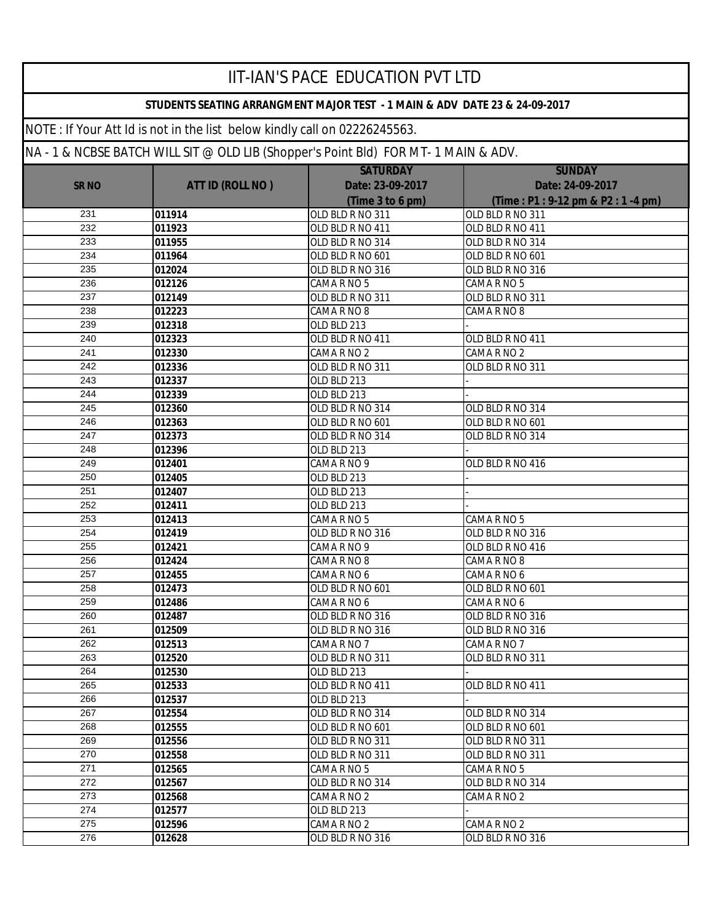|                  |                                                                                 | IIT-IAN'S PACE EDUCATION PVT LTD                                           |                                  |
|------------------|---------------------------------------------------------------------------------|----------------------------------------------------------------------------|----------------------------------|
|                  |                                                                                 | STUDENTS SEATING ARRANGMENT MAJOR TEST - 1 MAIN & ADV DATE 23 & 24-09-2017 |                                  |
|                  | NOTE: If Your Att Id is not in the list below kindly call on 02226245563.       |                                                                            |                                  |
|                  | NA-1& NCBSE BATCH WILL SIT @ OLD LIB (Shopper's Point BId) FOR MT-1 MAIN & ADV. |                                                                            |                                  |
|                  |                                                                                 | <b>SATURDAY</b>                                                            | <b>SUNDAY</b>                    |
| <b>SR NO</b>     | <b>ATT ID (ROLL NO)</b>                                                         | Date: 23-09-2017                                                           | Date: 24-09-2017                 |
|                  |                                                                                 | (Time 3 to 6 pm)                                                           | (Time: P1: 9-12 pm & P2: 1-4 pm) |
| 231              | 011914                                                                          | OLD BLD R NO 311                                                           | OLD BLD R NO 311                 |
| 232              | 011923                                                                          | OLD BLD R NO 411                                                           | OLD BLD R NO 411                 |
| 233              | 011955                                                                          | OLD BLD R NO 314                                                           | OLD BLD R NO 314                 |
| 234              | 011964                                                                          | OLD BLD R NO 601                                                           | OLD BLD R NO 601                 |
| 235              | 012024                                                                          | OLD BLD R NO 316                                                           | OLD BLD R NO 316                 |
| 236              | 012126                                                                          | CAMARNO <sub>5</sub>                                                       | CAMA R NO 5                      |
| 237              | 012149                                                                          | OLD BLD R NO 311                                                           | OLD BLD R NO 311                 |
| 238              | 012223                                                                          | CAMA R NO 8                                                                | CAMA R NO 8                      |
| 239              | 012318                                                                          | OLD BLD 213                                                                |                                  |
| 240              | 012323                                                                          | OLD BLD R NO 411                                                           | OLD BLD R NO 411                 |
| 241              | 012330                                                                          | CAMA R NO 2                                                                | CAMA R NO 2                      |
| 242              | 012336                                                                          | OLD BLD R NO 311                                                           | OLD BLD R NO 311                 |
| 243              | 012337                                                                          | OLD BLD 213                                                                |                                  |
| 244              | 012339                                                                          | OLD BLD 213                                                                |                                  |
| 245              | 012360                                                                          | OLD BLD R NO 314                                                           | OLD BLD R NO 314                 |
| 246              | 012363                                                                          | OLD BLD R NO 601                                                           | OLD BLD R NO 601                 |
| 247              | 012373                                                                          | OLD BLD R NO 314                                                           | OLD BLD R NO 314                 |
| 248              | 012396                                                                          | OLD BLD 213                                                                |                                  |
| 249              | 012401                                                                          | CAMA R NO 9                                                                | OLD BLD R NO 416                 |
| 250              | 012405                                                                          | OLD BLD 213                                                                |                                  |
| 251              | 012407                                                                          | OLD BLD 213                                                                |                                  |
| 252              | 012411                                                                          | OLD BLD 213                                                                |                                  |
| 253              | 012413                                                                          | CAMA R NO 5                                                                | CAMA R NO 5                      |
| 254              | 012419                                                                          | OLD BLD R NO 316                                                           | OLD BLD R NO 316                 |
| 255              | 012421                                                                          | CAMA R NO 9                                                                | OLD BLD R NO 416                 |
| 256              | 012424                                                                          | CAMA R NO 8                                                                | CAMA R NO 8                      |
| $\overline{257}$ | 012455                                                                          | CAMA R NO 6                                                                | CAMA R NO 6                      |
| 258              | 012473                                                                          | OLD BLD R NO 601                                                           | OLD BLD R NO 601                 |
| 259              | 012486                                                                          | CAMA R NO 6                                                                | CAMA R NO 6                      |
| 260              | 012487                                                                          | OLD BLD R NO 316                                                           | OLD BLD R NO 316                 |
| 261              | 012509                                                                          | OLD BLD R NO 316                                                           | OLD BLD R NO 316                 |
| 262              | 012513                                                                          | CAMA R NO 7                                                                | CAMA R NO 7                      |
| 263              | 012520                                                                          | OLD BLD R NO 311                                                           | OLD BLD R NO 311                 |
| 264              | 012530                                                                          | OLD BLD 213                                                                |                                  |
| 265              | 012533                                                                          | OLD BLD R NO 411                                                           | OLD BLD R NO 411                 |
| 266              | 012537                                                                          | OLD BLD 213                                                                |                                  |
| 267              | 012554                                                                          | OLD BLD R NO 314                                                           | OLD BLD R NO 314                 |
| 268              | 012555                                                                          | OLD BLD R NO 601                                                           | OLD BLD R NO 601                 |
| 269              | 012556                                                                          | OLD BLD R NO 311                                                           | OLD BLD R NO 311                 |
| 270              | 012558                                                                          | OLD BLD R NO 311                                                           | OLD BLD R NO 311                 |
| 271              | 012565                                                                          | CAMA R NO 5                                                                | CAMA R NO 5                      |
| 272              | 012567                                                                          | OLD BLD R NO 314                                                           | OLD BLD R NO 314                 |
| 273              | 012568                                                                          | CAMA R NO 2                                                                | CAMA R NO 2                      |
| 274              | 012577                                                                          | OLD BLD 213                                                                |                                  |
| 275              | 012596                                                                          | CAMA R NO 2                                                                | CAMA R NO 2                      |
| 276              | 012628                                                                          | OLD BLD R NO 316                                                           | OLD BLD R NO 316                 |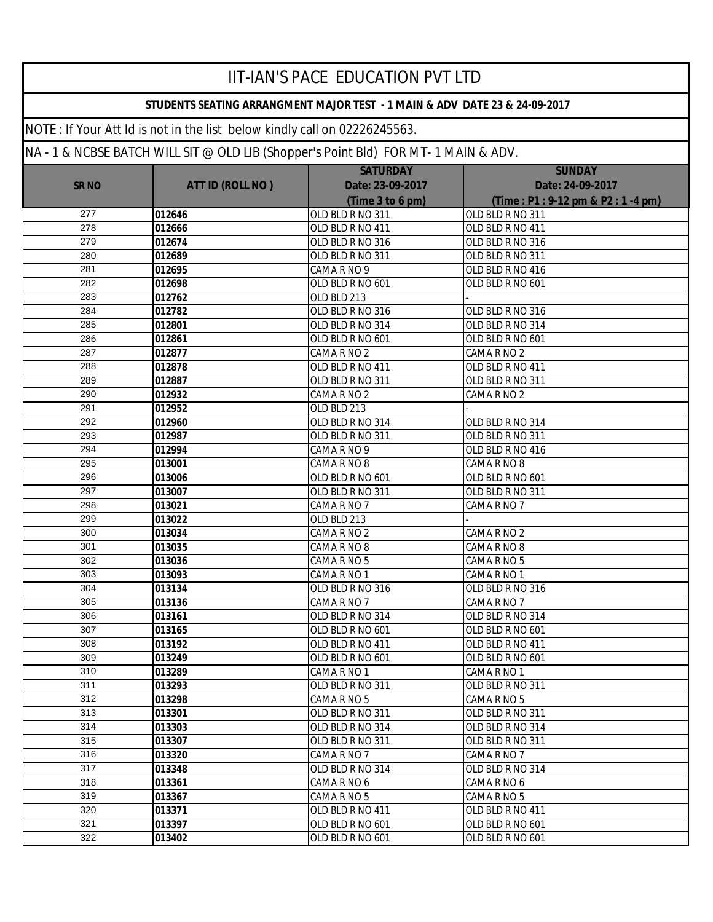|              |                                                                                     | IIT-IAN'S PACE EDUCATION PVT LTD                                           |                                  |
|--------------|-------------------------------------------------------------------------------------|----------------------------------------------------------------------------|----------------------------------|
|              |                                                                                     | STUDENTS SEATING ARRANGMENT MAJOR TEST - 1 MAIN & ADV DATE 23 & 24-09-2017 |                                  |
|              | NOTE: If Your Att Id is not in the list below kindly call on 02226245563.           |                                                                            |                                  |
|              | NA - 1 & NCBSE BATCH WILL SIT @ OLD LIB (Shopper's Point BId) FOR MT- 1 MAIN & ADV. |                                                                            |                                  |
|              |                                                                                     | <b>SATURDAY</b>                                                            | <b>SUNDAY</b>                    |
| <b>SR NO</b> | <b>ATT ID (ROLL NO)</b>                                                             | Date: 23-09-2017                                                           | Date: 24-09-2017                 |
|              |                                                                                     | (Time 3 to 6 pm)                                                           | (Time: P1: 9-12 pm & P2: 1-4 pm) |
| 277          | 012646                                                                              | OLD BLD R NO 311                                                           | OLD BLD R NO 311                 |
| 278          | 012666                                                                              | OLD BLD R NO 411                                                           | OLD BLD R NO 411                 |
| 279          | 012674                                                                              | OLD BLD R NO 316                                                           | OLD BLD R NO 316                 |
| 280          | 012689                                                                              | OLD BLD R NO 311                                                           | OLD BLD R NO 311                 |
| 281          | 012695                                                                              | CAMA R NO 9                                                                | OLD BLD R NO 416                 |
| 282          | 012698                                                                              | OLD BLD R NO 601                                                           | OLD BLD R NO 601                 |
| 283          | 012762                                                                              | OLD BLD 213                                                                |                                  |
| 284          | 012782                                                                              | OLD BLD R NO 316                                                           | OLD BLD R NO 316                 |
| 285          | 012801                                                                              | OLD BLD R NO 314                                                           | OLD BLD R NO 314                 |
| 286          | 012861                                                                              | OLD BLD R NO 601                                                           | OLD BLD R NO 601                 |
| 287          | 012877                                                                              | CAMA R NO 2                                                                | CAMA R NO 2                      |
| 288          | 012878                                                                              | OLD BLD R NO 411                                                           | OLD BLD R NO 411                 |
| 289          | 012887                                                                              | OLD BLD R NO 311                                                           | OLD BLD R NO 311                 |
| 290          | 012932                                                                              | CAMA R NO 2                                                                | CAMA R NO 2                      |
| 291          | 012952                                                                              | OLD BLD 213                                                                |                                  |
| 292          | 012960                                                                              | OLD BLD R NO 314                                                           | OLD BLD R NO 314                 |
| 293          | 012987                                                                              | OLD BLD R NO 311                                                           | OLD BLD R NO 311                 |
| 294          | 012994                                                                              | CAMA R NO 9                                                                | OLD BLD R NO 416                 |
| 295          | 013001                                                                              | CAMA R NO 8                                                                | CAMA R NO 8                      |
| 296          | 013006                                                                              | OLD BLD R NO 601                                                           | OLD BLD R NO 601                 |
| 297          | 013007                                                                              | OLD BLD R NO 311                                                           | OLD BLD R NO 311                 |
| 298          | 013021                                                                              | CAMA R NO 7                                                                | CAMA R NO 7                      |
| 299          | 013022                                                                              | OLD BLD 213                                                                |                                  |
| 300          | 013034                                                                              | CAMA R NO 2                                                                | CAMA R NO 2                      |
| 301          | 013035                                                                              | CAMA R NO 8                                                                | CAMA R NO 8                      |
| 302          | 013036                                                                              | CAMA R NO 5                                                                | CAMA R NO 5                      |
| 303          | 013093                                                                              | CAMA R NO 1                                                                | CAMA R NO 1                      |
| 304          | 013134                                                                              | OLD BLD R NO 316                                                           | OLD BLD R NO 316                 |
| 305          | 013136                                                                              | CAMA R NO 7                                                                | CAMA R NO 7                      |
| 306          | 013161                                                                              | OLD BLD R NO 314                                                           | OLD BLD R NO 314                 |
| 307          | 013165                                                                              | OLD BLD R NO 601                                                           | OLD BLD R NO 601                 |
| 308          | 013192                                                                              | OLD BLD R NO 411                                                           | OLD BLD R NO 411                 |
| 309          | 013249                                                                              | OLD BLD R NO 601                                                           | OLD BLD R NO 601                 |
| 310          | 013289                                                                              | CAMA R NO 1                                                                | CAMA R NO 1                      |
| 311          | 013293                                                                              | OLD BLD R NO 311                                                           | OLD BLD R NO 311                 |
| 312          | 013298                                                                              | CAMA R NO 5                                                                | CAMA R NO 5                      |
| 313          | 013301                                                                              | OLD BLD R NO 311                                                           | OLD BLD R NO 311                 |
| 314          | 013303                                                                              | OLD BLD R NO 314                                                           | OLD BLD R NO 314                 |
| 315          | 013307                                                                              | OLD BLD R NO 311                                                           | OLD BLD R NO 311                 |
| 316          | 013320                                                                              | CAMA R NO 7                                                                | CAMA R NO 7                      |
| 317          | 013348                                                                              | OLD BLD R NO 314                                                           | OLD BLD R NO 314                 |
| 318          | 013361                                                                              | CAMA R NO 6                                                                | CAMA R NO 6                      |
| 319          | 013367                                                                              | CAMA R NO 5                                                                | CAMA R NO 5                      |
| 320          | 013371                                                                              | OLD BLD R NO 411                                                           | OLD BLD R NO 411                 |
| 321          | 013397                                                                              | OLD BLD R NO 601                                                           | OLD BLD R NO 601                 |
| 322          | 013402                                                                              | OLD BLD R NO 601                                                           | OLD BLD R NO 601                 |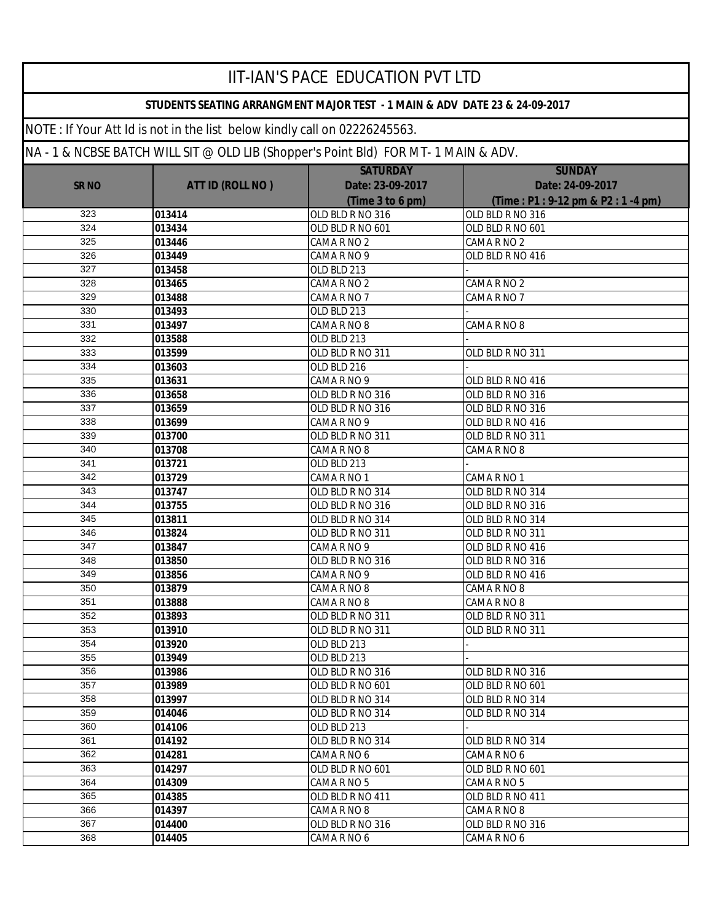|              |                                                                                     | <b>IIT-IAN'S PACE EDUCATION PVT LTD</b>                                    |                                  |
|--------------|-------------------------------------------------------------------------------------|----------------------------------------------------------------------------|----------------------------------|
|              |                                                                                     | STUDENTS SEATING ARRANGMENT MAJOR TEST - 1 MAIN & ADV DATE 23 & 24-09-2017 |                                  |
|              | NOTE: If Your Att Id is not in the list below kindly call on 02226245563.           |                                                                            |                                  |
|              | NA - 1 & NCBSE BATCH WILL SIT @ OLD LIB (Shopper's Point Bld) FOR MT- 1 MAIN & ADV. |                                                                            |                                  |
|              |                                                                                     | <b>SATURDAY</b>                                                            | <b>SUNDAY</b>                    |
| <b>SR NO</b> | <b>ATT ID (ROLL NO)</b>                                                             | Date: 23-09-2017                                                           | Date: 24-09-2017                 |
|              |                                                                                     | (Time 3 to 6 pm)                                                           | (Time: P1: 9-12 pm & P2: 1-4 pm) |
| 323          | 013414                                                                              | OLD BLD R NO 316                                                           | OLD BLD R NO 316                 |
| 324          | 013434                                                                              | OLD BLD R NO 601                                                           | OLD BLD R NO 601                 |
| 325          | 013446                                                                              | CAMA R NO 2                                                                | CAMA R NO 2                      |
| 326          | 013449                                                                              | CAMA R NO 9                                                                | OLD BLD R NO 416                 |
| 327          | 013458                                                                              | OLD BLD 213                                                                |                                  |
| 328          | 013465                                                                              | CAMA R NO 2                                                                | CAMA R NO 2                      |
| 329          | 013488                                                                              | CAMA R NO 7                                                                | CAMA R NO 7                      |
| 330          | 013493                                                                              | OLD BLD 213                                                                |                                  |
| 331          | 013497                                                                              | CAMA R NO 8                                                                | CAMA R NO 8                      |
| 332          | 013588                                                                              | OLD BLD 213                                                                |                                  |
| 333          | 013599                                                                              | OLD BLD R NO 311                                                           | OLD BLD R NO 311                 |
| 334          | 013603                                                                              | OLD BLD 216                                                                |                                  |
| 335          | 013631                                                                              | CAMA R NO 9                                                                | OLD BLD R NO 416                 |
| 336          | 013658                                                                              | OLD BLD R NO 316                                                           | OLD BLD R NO 316                 |
| 337          | 013659                                                                              | OLD BLD R NO 316                                                           | OLD BLD R NO 316                 |
| 338          | 013699                                                                              | CAMA R NO 9                                                                | OLD BLD R NO 416                 |
| 339          | 013700                                                                              | OLD BLD R NO 311                                                           | OLD BLD R NO 311                 |
| 340          | 013708                                                                              | CAMA R NO 8                                                                | CAMA R NO 8                      |
| 341          | 013721                                                                              | OLD BLD 213                                                                |                                  |
| 342          | 013729                                                                              | CAMA R NO 1                                                                | CAMA R NO 1                      |
| 343          | 013747                                                                              | OLD BLD R NO 314                                                           | OLD BLD R NO 314                 |
| 344          | 013755                                                                              | OLD BLD R NO 316                                                           | OLD BLD R NO 316                 |
| 345          | 013811                                                                              | OLD BLD R NO 314                                                           | OLD BLD R NO 314                 |
| 346          | 013824                                                                              | OLD BLD R NO 311                                                           | OLD BLD R NO 311                 |
| 347          | 013847                                                                              | CAMARNO <sub>9</sub>                                                       | OLD BLD R NO 416                 |
| 348          | 013850                                                                              | OLD BLD R NO 316                                                           | OLD BLD R NO 316                 |
| 349          | 013856                                                                              | CAMA R NO 9                                                                | OLD BLD R NO 416                 |
| 350          | 013879                                                                              | CAMA R NO 8                                                                | CAMA R NO 8                      |
| 351          | 013888                                                                              | CAMA R NO 8                                                                | CAMA R NO 8                      |
| 352          | 013893                                                                              | OLD BLD R NO 311                                                           | OLD BLD R NO 311                 |
| 353          | 013910                                                                              | OLD BLD R NO 311                                                           | OLD BLD R NO 311                 |
| 354          | 013920                                                                              | OLD BLD 213                                                                |                                  |
| 355          | 013949                                                                              | OLD BLD 213                                                                |                                  |
| 356          | 013986                                                                              | OLD BLD R NO 316                                                           | OLD BLD R NO 316                 |
| 357          | 013989                                                                              | OLD BLD R NO 601                                                           | OLD BLD R NO 601                 |
| 358          | 013997                                                                              | OLD BLD R NO 314                                                           | OLD BLD R NO 314                 |
| 359          | 014046                                                                              | OLD BLD R NO 314                                                           | OLD BLD R NO 314                 |
| 360          | 014106                                                                              | OLD BLD 213                                                                |                                  |
| 361          | 014192                                                                              | OLD BLD R NO 314                                                           | OLD BLD R NO 314                 |
| 362          | 014281                                                                              | CAMA R NO 6                                                                | CAMA R NO 6                      |
| 363          | 014297                                                                              | OLD BLD R NO 601                                                           | OLD BLD R NO 601                 |
| 364          | 014309                                                                              | CAMA R NO 5                                                                | CAMA R NO 5                      |
| 365          | 014385                                                                              | OLD BLD R NO 411                                                           | OLD BLD R NO 411                 |
| 366          | 014397                                                                              | CAMA R NO 8                                                                | CAMA R NO 8                      |
| 367          | 014400                                                                              | OLD BLD R NO 316                                                           | OLD BLD R NO 316                 |
| 368          | 014405                                                                              | CAMA R NO 6                                                                | CAMA R NO 6                      |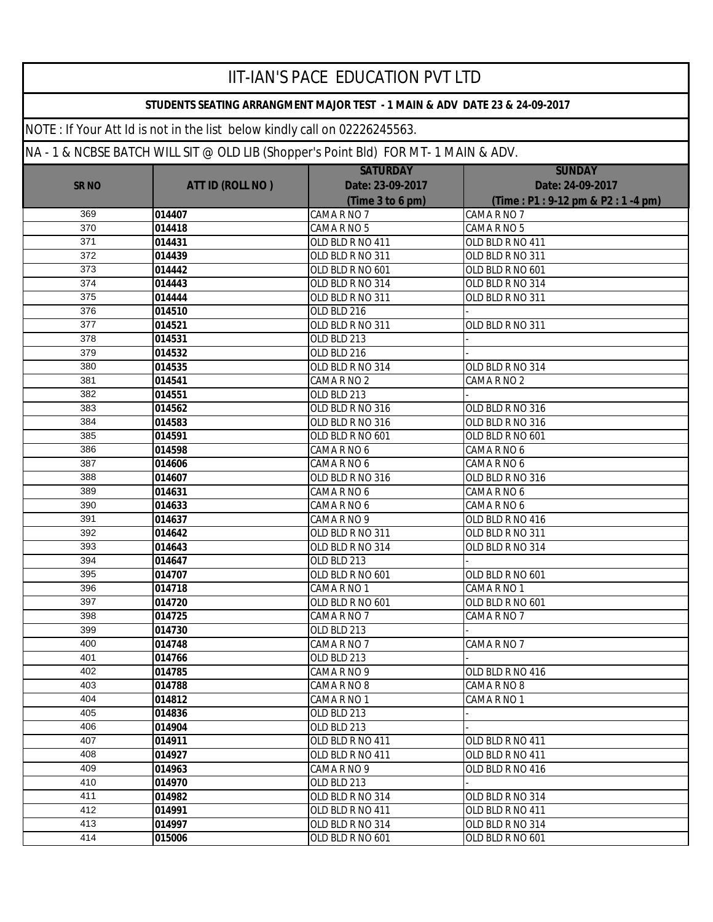|              |                                                                                     | <b>IIT-IAN'S PACE EDUCATION PVT LTD</b>                                    |                                  |
|--------------|-------------------------------------------------------------------------------------|----------------------------------------------------------------------------|----------------------------------|
|              |                                                                                     | STUDENTS SEATING ARRANGMENT MAJOR TEST - 1 MAIN & ADV DATE 23 & 24-09-2017 |                                  |
|              | NOTE: If Your Att Id is not in the list below kindly call on 02226245563.           |                                                                            |                                  |
|              | NA - 1 & NCBSE BATCH WILL SIT @ OLD LIB (Shopper's Point Bld) FOR MT- 1 MAIN & ADV. |                                                                            |                                  |
|              |                                                                                     | <b>SATURDAY</b>                                                            | <b>SUNDAY</b>                    |
| <b>SR NO</b> | <b>ATT ID (ROLL NO)</b>                                                             | Date: 23-09-2017                                                           | Date: 24-09-2017                 |
|              |                                                                                     | (Time 3 to 6 pm)                                                           | (Time: P1: 9-12 pm & P2: 1-4 pm) |
| 369          | 014407                                                                              | CAMA R NO 7                                                                | CAMA R NO 7                      |
| 370          | 014418                                                                              | CAMA R NO 5                                                                | CAMA R NO 5                      |
| 371          | 014431                                                                              | OLD BLD R NO 411                                                           | OLD BLD R NO 411                 |
| 372          | 014439                                                                              | OLD BLD R NO 311                                                           | OLD BLD R NO 311                 |
| 373          | 014442                                                                              | OLD BLD R NO 601                                                           | OLD BLD R NO 601                 |
| 374          | 014443                                                                              | OLD BLD R NO 314                                                           | OLD BLD R NO 314                 |
| 375          | 014444                                                                              | OLD BLD R NO 311                                                           | OLD BLD R NO 311                 |
| 376          | 014510                                                                              | OLD BLD 216                                                                |                                  |
| 377          | 014521                                                                              | OLD BLD R NO 311                                                           | OLD BLD R NO 311                 |
| 378          | 014531                                                                              | OLD BLD 213                                                                |                                  |
| 379          | 014532                                                                              | OLD BLD 216                                                                |                                  |
| 380          | 014535                                                                              | OLD BLD R NO 314                                                           | OLD BLD R NO 314                 |
| 381          | 014541                                                                              | CAMA R NO 2                                                                | CAMA R NO 2                      |
| 382          | 014551                                                                              | OLD BLD 213                                                                |                                  |
| 383          | 014562                                                                              | OLD BLD R NO 316                                                           | OLD BLD R NO 316                 |
| 384          | 014583                                                                              | OLD BLD R NO 316                                                           | OLD BLD R NO 316                 |
| 385          | 014591                                                                              | OLD BLD R NO 601                                                           | OLD BLD R NO 601                 |
| 386          | 014598                                                                              | CAMA R NO 6                                                                | CAMA R NO 6                      |
| 387          | 014606                                                                              | CAMA R NO 6                                                                | CAMA R NO 6                      |
| 388          | 014607                                                                              | OLD BLD R NO 316                                                           | OLD BLD R NO 316                 |
| 389          | 014631                                                                              | CAMA R NO 6                                                                | CAMA R NO 6                      |
| 390          | 014633                                                                              | CAMA R NO 6                                                                | CAMA R NO 6                      |
| 391          | 014637                                                                              | CAMA R NO 9                                                                | OLD BLD R NO 416                 |
| 392          | 014642                                                                              | OLD BLD R NO 311                                                           | OLD BLD R NO 311                 |
| 393          | 014643                                                                              | OLD BLD R NO 314                                                           | OLD BLD R NO 314                 |
| 394          | 014647                                                                              | OLD BLD 213                                                                |                                  |
| 395          | 014707                                                                              | OLD BLD R NO 601                                                           | OLD BLD R NO 601                 |
| 396          | 014718                                                                              | CAMA R NO 1                                                                | CAMA R NO 1                      |
| 397          | 014720                                                                              | OLD BLD R NO 601                                                           | OLD BLD R NO 601                 |
| 398          | 014725                                                                              | CAMA R NO 7                                                                | CAMA R NO 7                      |
| 399          | 014730                                                                              | OLD BLD 213                                                                |                                  |
| 400          | 014748                                                                              | CAMA R NO 7                                                                | CAMA R NO 7                      |
| 401          | 014766                                                                              | OLD BLD 213                                                                |                                  |
| 402          | 014785                                                                              | CAMA R NO 9                                                                | OLD BLD R NO 416                 |
| 403          | 014788                                                                              | CAMA R NO 8                                                                | CAMA R NO 8                      |
| 404          | 014812                                                                              | CAMA R NO 1                                                                | CAMA R NO 1                      |
| 405          | 014836                                                                              | OLD BLD 213                                                                |                                  |
| 406          | 014904                                                                              | OLD BLD 213                                                                |                                  |
| 407          | 014911                                                                              | OLD BLD R NO 411                                                           | OLD BLD R NO 411                 |
| 408          | 014927                                                                              | OLD BLD R NO 411                                                           | OLD BLD R NO 411                 |
| 409          | 014963                                                                              | CAMA R NO 9                                                                | OLD BLD R NO 416                 |
| 410          | 014970                                                                              | OLD BLD 213                                                                |                                  |
| 411          | 014982                                                                              | OLD BLD R NO 314                                                           | OLD BLD R NO 314                 |
| 412          | 014991                                                                              | OLD BLD R NO 411                                                           | OLD BLD R NO 411                 |
| 413          | 014997                                                                              | OLD BLD R NO 314                                                           | OLD BLD R NO 314                 |
| 414          | 015006                                                                              | OLD BLD R NO 601                                                           | OLD BLD R NO 601                 |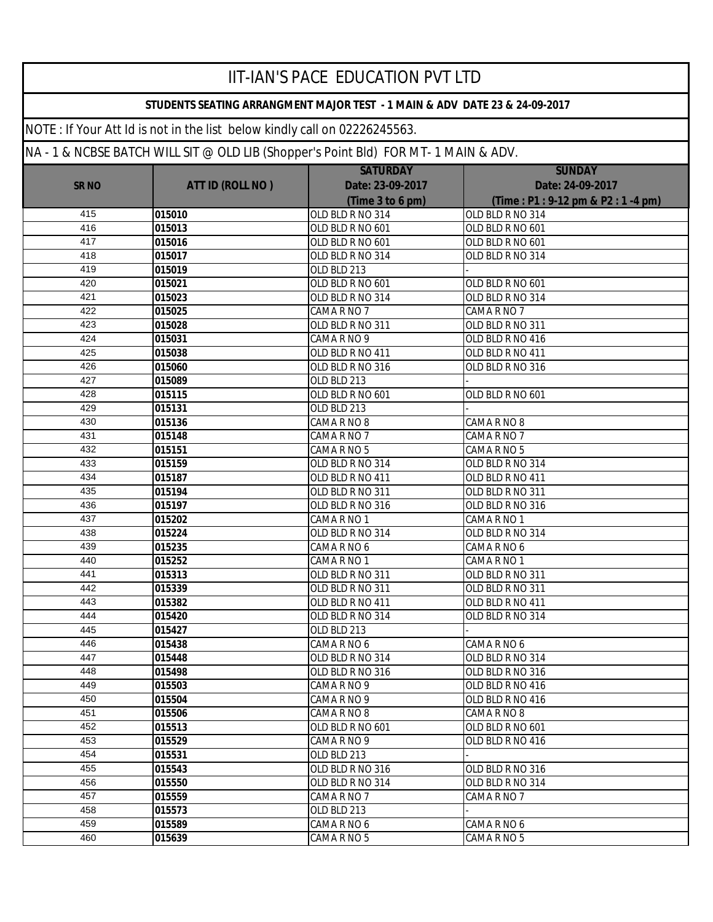|              |                                                                                     | <b>IIT-IAN'S PACE EDUCATION PVT LTD</b>                                    |                                  |
|--------------|-------------------------------------------------------------------------------------|----------------------------------------------------------------------------|----------------------------------|
|              |                                                                                     | STUDENTS SEATING ARRANGMENT MAJOR TEST - 1 MAIN & ADV DATE 23 & 24-09-2017 |                                  |
|              | NOTE: If Your Att Id is not in the list below kindly call on 02226245563.           |                                                                            |                                  |
|              | NA - 1 & NCBSE BATCH WILL SIT @ OLD LIB (Shopper's Point Bld) FOR MT- 1 MAIN & ADV. |                                                                            |                                  |
|              |                                                                                     | <b>SATURDAY</b>                                                            | <b>SUNDAY</b>                    |
| <b>SR NO</b> | <b>ATT ID (ROLL NO)</b>                                                             | Date: 23-09-2017                                                           | Date: 24-09-2017                 |
|              |                                                                                     | (Time 3 to 6 pm)                                                           | (Time: P1: 9-12 pm & P2: 1-4 pm) |
| 415          | 015010                                                                              | OLD BLD R NO 314                                                           | OLD BLD R NO 314                 |
| 416          | 015013                                                                              | OLD BLD R NO 601                                                           | OLD BLD R NO 601                 |
| 417          | 015016                                                                              | OLD BLD R NO 601                                                           | OLD BLD R NO 601                 |
| 418          | 015017                                                                              | OLD BLD R NO 314                                                           | OLD BLD R NO 314                 |
| 419          | 015019                                                                              | OLD BLD 213                                                                |                                  |
| 420          | 015021                                                                              | OLD BLD R NO 601                                                           | OLD BLD R NO 601                 |
| 421          | 015023                                                                              | OLD BLD R NO 314                                                           | OLD BLD R NO 314                 |
| 422          | 015025                                                                              | CAMA R NO 7                                                                | CAMA R NO 7                      |
| 423          | 015028                                                                              | OLD BLD R NO 311                                                           | OLD BLD R NO 311                 |
| 424          | 015031                                                                              | CAMA R NO 9                                                                | OLD BLD R NO 416                 |
| 425          | 015038                                                                              | OLD BLD R NO 411                                                           | OLD BLD R NO 411                 |
| 426          | 015060                                                                              | OLD BLD R NO 316                                                           | OLD BLD R NO 316                 |
| 427          | 015089                                                                              | OLD BLD 213                                                                |                                  |
| 428          | 015115                                                                              | OLD BLD R NO 601                                                           | OLD BLD R NO 601                 |
| 429          | 015131                                                                              | OLD BLD 213                                                                |                                  |
| 430          | 015136                                                                              | CAMA R NO 8                                                                | CAMA R NO 8                      |
| 431          | 015148                                                                              | CAMA R NO 7                                                                | CAMA R NO 7                      |
| 432          | 015151                                                                              | CAMA R NO 5                                                                | CAMA R NO 5                      |
| 433          | 015159                                                                              | OLD BLD R NO 314                                                           | OLD BLD R NO 314                 |
| 434          | 015187                                                                              | OLD BLD R NO 411                                                           | OLD BLD R NO 411                 |
| 435          | 015194                                                                              | OLD BLD R NO 311                                                           | OLD BLD R NO 311                 |
| 436          | 015197                                                                              | OLD BLD R NO 316                                                           | OLD BLD R NO 316                 |
| 437          | 015202                                                                              | CAMA R NO 1                                                                | CAMA R NO 1                      |
| 438          | 015224                                                                              | OLD BLD R NO 314                                                           | OLD BLD R NO 314                 |
| 439          | 015235                                                                              | CAMA R NO 6                                                                | CAMA R NO 6                      |
| 440          | 015252                                                                              | CAMA R NO 1                                                                | CAMA R NO 1                      |
| 441          | 015313                                                                              | OLD BLD R NO 311                                                           | OLD BLD R NO 311                 |
| 442          | 015339                                                                              | OLD BLD R NO 311                                                           | OLD BLD R NO 311                 |
| 443          | 015382                                                                              | OLD BLD R NO 411                                                           | OLD BLD R NO 411                 |
| 444          | 015420                                                                              | OLD BLD R NO 314                                                           | OLD BLD R NO 314                 |
| 445          | 015427                                                                              | OLD BLD 213                                                                |                                  |
| 446          | 015438                                                                              | CAMA R NO 6                                                                | CAMA R NO 6                      |
| 447          | 015448                                                                              | OLD BLD R NO 314                                                           | OLD BLD R NO 314                 |
| 448          | 015498                                                                              | OLD BLD R NO 316                                                           | OLD BLD R NO 316                 |
| 449          | 015503                                                                              | CAMA R NO 9                                                                | OLD BLD R NO 416                 |
| 450          | 015504                                                                              | CAMA R NO 9                                                                | OLD BLD R NO 416                 |
| 451          | 015506                                                                              | CAMA R NO 8                                                                | CAMA R NO 8                      |
| 452          | 015513                                                                              | OLD BLD R NO 601                                                           | OLD BLD R NO 601                 |
| 453          | 015529                                                                              | CAMA R NO 9                                                                | OLD BLD R NO 416                 |
| 454          | 015531                                                                              | OLD BLD 213                                                                |                                  |
| 455          | 015543                                                                              | OLD BLD R NO 316                                                           | OLD BLD R NO 316                 |
| 456          | 015550                                                                              | OLD BLD R NO 314                                                           | OLD BLD R NO 314                 |
| 457          | 015559                                                                              | CAMA R NO 7                                                                | CAMA R NO 7                      |
| 458          | 015573                                                                              | OLD BLD 213                                                                |                                  |
| 459          | 015589                                                                              | CAMA R NO 6                                                                | CAMA R NO 6                      |
| 460          | 015639                                                                              | CAMA R NO 5                                                                | CAMA R NO 5                      |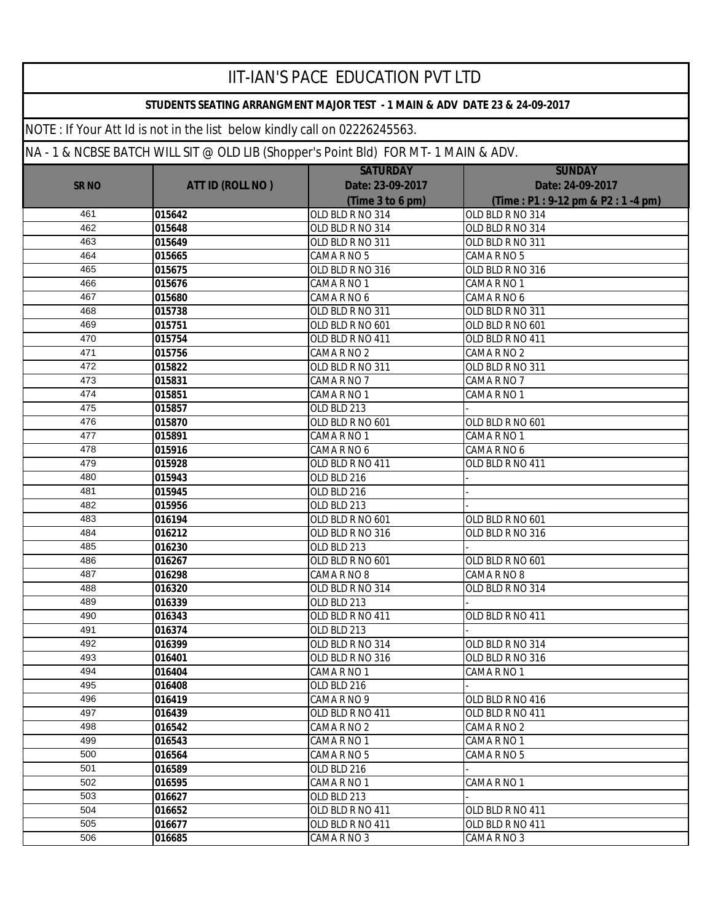|              |                                                                           | <b>IIT-IAN'S PACE EDUCATION PVT LTD</b>                                             |                                  |
|--------------|---------------------------------------------------------------------------|-------------------------------------------------------------------------------------|----------------------------------|
|              |                                                                           | STUDENTS SEATING ARRANGMENT MAJOR TEST - 1 MAIN & ADV DATE 23 & 24-09-2017          |                                  |
|              | NOTE: If Your Att Id is not in the list below kindly call on 02226245563. |                                                                                     |                                  |
|              |                                                                           | NA - 1 & NCBSE BATCH WILL SIT @ OLD LIB (Shopper's Point Bld) FOR MT- 1 MAIN & ADV. |                                  |
|              |                                                                           | <b>SATURDAY</b>                                                                     | <b>SUNDAY</b>                    |
| <b>SR NO</b> | <b>ATT ID (ROLL NO)</b>                                                   | Date: 23-09-2017                                                                    | Date: 24-09-2017                 |
|              |                                                                           | (Time 3 to 6 pm)                                                                    | (Time: P1: 9-12 pm & P2: 1-4 pm) |
| 461          | 015642                                                                    | OLD BLD R NO 314                                                                    | OLD BLD R NO 314                 |
| 462          | 015648                                                                    | OLD BLD R NO 314                                                                    | OLD BLD R NO 314                 |
| 463          | 015649                                                                    | OLD BLD R NO 311                                                                    | OLD BLD R NO 311                 |
| 464          | 015665                                                                    | CAMA R NO 5                                                                         | CAMA R NO 5                      |
| 465          | 015675                                                                    | OLD BLD R NO 316                                                                    | OLD BLD R NO 316                 |
| 466          | 015676                                                                    | CAMA R NO 1                                                                         | CAMA R NO 1                      |
| 467          | 015680                                                                    | CAMA R NO 6                                                                         | CAMA R NO 6                      |
| 468          | 015738                                                                    | OLD BLD R NO 311                                                                    | OLD BLD R NO 311                 |
| 469          | 015751                                                                    | OLD BLD R NO 601                                                                    | OLD BLD R NO 601                 |
| 470          | 015754                                                                    | OLD BLD R NO 411                                                                    | OLD BLD R NO 411                 |
| 471          | 015756                                                                    | CAMA R NO 2                                                                         | CAMA R NO 2                      |
| 472          | 015822                                                                    | OLD BLD R NO 311                                                                    | OLD BLD R NO 311                 |
| 473          | 015831                                                                    | CAMA R NO 7                                                                         | CAMA R NO 7                      |
| 474          | 015851                                                                    | CAMA R NO 1                                                                         | CAMA R NO 1                      |
| 475          | 015857                                                                    | OLD BLD 213                                                                         |                                  |
| 476          | 015870                                                                    | OLD BLD R NO 601                                                                    | OLD BLD R NO 601                 |
| 477          | 015891                                                                    | CAMA R NO 1                                                                         | CAMA R NO 1                      |
| 478          | 015916                                                                    | CAMA R NO 6                                                                         | CAMA R NO 6                      |
| 479          | 015928                                                                    | OLD BLD R NO 411                                                                    | OLD BLD R NO 411                 |
| 480          | 015943                                                                    | OLD BLD 216                                                                         |                                  |
| 481          | 015945                                                                    | OLD BLD 216                                                                         |                                  |
| 482          | 015956                                                                    | OLD BLD 213                                                                         |                                  |
| 483          | 016194                                                                    | OLD BLD R NO 601                                                                    | OLD BLD R NO 601                 |
| 484          | 016212                                                                    | OLD BLD R NO 316                                                                    | OLD BLD R NO 316                 |
| 485          | 016230                                                                    | OLD BLD 213                                                                         |                                  |
| 486<br>487   | 016267                                                                    | OLD BLD R NO 601                                                                    | OLD BLD R NO 601                 |
| 488          | 016298                                                                    | CAMA R NO 8                                                                         | CAMA R NO 8                      |
| 489          | 016320<br>016339                                                          | OLD BLD R NO 314<br>OLD BLD 213                                                     | OLD BLD R NO 314                 |
| 490          | 016343                                                                    | OLD BLD R NO 411                                                                    | OLD BLD R NO 411                 |
| 491          | 016374                                                                    | OLD BLD 213                                                                         |                                  |
| 492          | 016399                                                                    | OLD BLD R NO 314                                                                    | OLD BLD R NO 314                 |
| 493          | 016401                                                                    | OLD BLD R NO 316                                                                    | OLD BLD R NO 316                 |
| 494          | 016404                                                                    | CAMA R NO 1                                                                         | CAMA R NO 1                      |
| 495          | 016408                                                                    | OLD BLD 216                                                                         |                                  |
| 496          | 016419                                                                    | CAMA R NO 9                                                                         | OLD BLD R NO 416                 |
| 497          | 016439                                                                    | OLD BLD R NO 411                                                                    | OLD BLD R NO 411                 |
| 498          | 016542                                                                    | CAMA R NO 2                                                                         | CAMA R NO 2                      |
| 499          | 016543                                                                    | CAMA R NO 1                                                                         | CAMA R NO 1                      |
| 500          | 016564                                                                    | CAMA R NO 5                                                                         | CAMA R NO 5                      |
| 501          | 016589                                                                    | OLD BLD 216                                                                         |                                  |
| 502          | 016595                                                                    | CAMA R NO 1                                                                         | CAMA R NO 1                      |
| 503          | 016627                                                                    | OLD BLD 213                                                                         |                                  |
| 504          | 016652                                                                    | OLD BLD R NO 411                                                                    | OLD BLD R NO 411                 |
| 505          | 016677                                                                    | OLD BLD R NO 411                                                                    | OLD BLD R NO 411                 |
| 506          | 016685                                                                    | CAMA R NO 3                                                                         | CAMA R NO 3                      |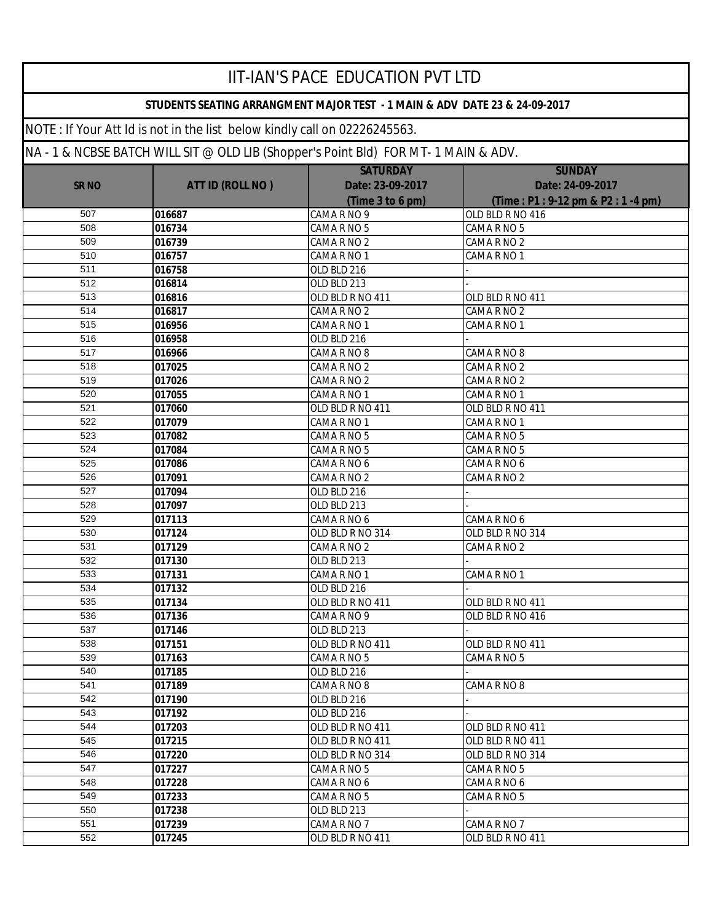|              |                                                                                     | <b>IIT-IAN'S PACE EDUCATION PVT LTD</b>                                    |                                  |
|--------------|-------------------------------------------------------------------------------------|----------------------------------------------------------------------------|----------------------------------|
|              |                                                                                     | STUDENTS SEATING ARRANGMENT MAJOR TEST - 1 MAIN & ADV DATE 23 & 24-09-2017 |                                  |
|              | NOTE: If Your Att Id is not in the list below kindly call on 02226245563.           |                                                                            |                                  |
|              | NA - 1 & NCBSE BATCH WILL SIT @ OLD LIB (Shopper's Point Bld) FOR MT- 1 MAIN & ADV. |                                                                            |                                  |
|              |                                                                                     | <b>SATURDAY</b>                                                            | <b>SUNDAY</b>                    |
| <b>SR NO</b> | <b>ATT ID (ROLL NO)</b>                                                             | Date: 23-09-2017                                                           | Date: 24-09-2017                 |
|              |                                                                                     | (Time 3 to 6 pm)                                                           | (Time: P1: 9-12 pm & P2: 1-4 pm) |
| 507          | 016687                                                                              | CAMA R NO 9                                                                | OLD BLD R NO 416                 |
| 508          | 016734                                                                              | CAMA R NO 5                                                                | CAMA R NO 5                      |
| 509          | 016739                                                                              | CAMA R NO 2                                                                | CAMA R NO 2                      |
| 510          | 016757                                                                              | CAMA R NO 1                                                                | CAMA R NO 1                      |
| 511          | 016758                                                                              | OLD BLD 216                                                                |                                  |
| 512          | 016814                                                                              | OLD BLD 213                                                                |                                  |
| 513          | 016816                                                                              | OLD BLD R NO 411                                                           | OLD BLD R NO 411                 |
| 514          | 016817                                                                              | CAMA R NO 2                                                                | CAMA R NO 2                      |
| 515          | 016956                                                                              | CAMA R NO 1                                                                | CAMA R NO 1                      |
| 516          | 016958                                                                              | OLD BLD 216                                                                |                                  |
| 517          | 016966                                                                              | CAMA R NO 8                                                                | CAMA R NO 8                      |
| 518          | 017025                                                                              | CAMA R NO 2                                                                | CAMA R NO 2                      |
| 519          | 017026                                                                              | CAMA R NO 2                                                                | CAMA R NO 2                      |
| 520          | 017055                                                                              | CAMA R NO 1                                                                | CAMA R NO 1                      |
| 521          | 017060                                                                              | OLD BLD R NO 411                                                           | OLD BLD R NO 411                 |
| 522          | 017079                                                                              | CAMA R NO 1                                                                | CAMA R NO 1                      |
| 523          | 017082                                                                              | CAMA R NO 5                                                                | CAMA R NO 5                      |
| 524          | 017084                                                                              | CAMA R NO 5                                                                | CAMA R NO 5                      |
| 525          | 017086                                                                              | CAMA R NO 6                                                                | CAMA R NO 6                      |
| 526          | 017091                                                                              | CAMA R NO 2                                                                | CAMA R NO 2                      |
| 527          | 017094                                                                              | OLD BLD 216                                                                |                                  |
| 528          | 017097                                                                              | OLD BLD 213                                                                |                                  |
| 529<br>530   | 017113                                                                              | CAMA R NO 6                                                                | CAMA R NO 6                      |
|              | 017124                                                                              | OLD BLD R NO 314                                                           | OLD BLD R NO 314                 |
| 531<br>532   | 017129                                                                              | CAMA R NO 2                                                                | CAMA R NO 2                      |
| 533          | 017130<br>017131                                                                    | OLD BLD 213<br>CAMA R NO 1                                                 | CAMA R NO 1                      |
| 534          | 017132                                                                              | OLD BLD 216                                                                |                                  |
| 535          | 017134                                                                              | OLD BLD R NO 411                                                           | OLD BLD R NO 411                 |
| 536          | 017136                                                                              | CAMA R NO 9                                                                | OLD BLD R NO 416                 |
| 537          | 017146                                                                              | OLD BLD 213                                                                |                                  |
| 538          | 017151                                                                              | OLD BLD R NO 411                                                           | OLD BLD R NO 411                 |
| 539          | 017163                                                                              | CAMA R NO 5                                                                | CAMA R NO 5                      |
| 540          | 017185                                                                              | OLD BLD 216                                                                |                                  |
| 541          | 017189                                                                              | CAMA R NO 8                                                                | CAMA R NO 8                      |
| 542          | 017190                                                                              | OLD BLD 216                                                                |                                  |
| 543          | 017192                                                                              | OLD BLD 216                                                                |                                  |
| 544          | 017203                                                                              | OLD BLD R NO 411                                                           | OLD BLD R NO 411                 |
| 545          | 017215                                                                              | OLD BLD R NO 411                                                           | OLD BLD R NO 411                 |
| 546          | 017220                                                                              | OLD BLD R NO 314                                                           | OLD BLD R NO 314                 |
| 547          | 017227                                                                              | CAMA R NO 5                                                                | CAMA R NO 5                      |
| 548          | 017228                                                                              | CAMA R NO 6                                                                | CAMA R NO 6                      |
| 549          | 017233                                                                              | CAMA R NO 5                                                                | CAMA R NO 5                      |
| 550          | 017238                                                                              | OLD BLD 213                                                                |                                  |
| 551          | 017239                                                                              | CAMA R NO 7                                                                | CAMA R NO 7                      |
| 552          | 017245                                                                              | OLD BLD R NO 411                                                           | OLD BLD R NO 411                 |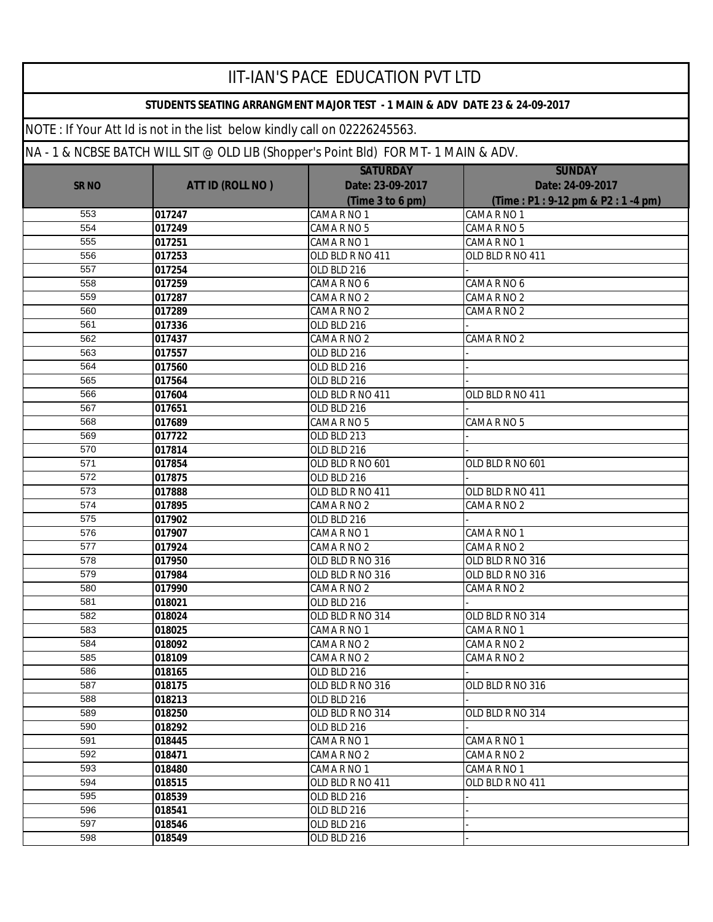| IIT-IAN'S PACE EDUCATION PVT LTD                                                                                                                                                                                                               |        |                  |                                  |  |  |  |              |                         |                  |                  |
|------------------------------------------------------------------------------------------------------------------------------------------------------------------------------------------------------------------------------------------------|--------|------------------|----------------------------------|--|--|--|--------------|-------------------------|------------------|------------------|
| STUDENTS SEATING ARRANGMENT MAJOR TEST - 1 MAIN & ADV DATE 23 & 24-09-2017<br>NOTE: If Your Att Id is not in the list below kindly call on 02226245563.<br>NA - 1 & NCBSE BATCH WILL SIT @ OLD LIB (Shopper's Point Bld) FOR MT- 1 MAIN & ADV. |        |                  |                                  |  |  |  |              |                         |                  |                  |
|                                                                                                                                                                                                                                                |        |                  |                                  |  |  |  |              |                         | <b>SATURDAY</b>  | <b>SUNDAY</b>    |
|                                                                                                                                                                                                                                                |        |                  |                                  |  |  |  | <b>SR NO</b> | <b>ATT ID (ROLL NO)</b> | Date: 23-09-2017 | Date: 24-09-2017 |
|                                                                                                                                                                                                                                                |        | (Time 3 to 6 pm) | (Time: P1: 9-12 pm & P2: 1-4 pm) |  |  |  |              |                         |                  |                  |
| 553                                                                                                                                                                                                                                            | 017247 | CAMA R NO 1      | CAMA R NO 1                      |  |  |  |              |                         |                  |                  |
| 554                                                                                                                                                                                                                                            | 017249 | CAMA R NO 5      | CAMA R NO 5                      |  |  |  |              |                         |                  |                  |
| 555                                                                                                                                                                                                                                            | 017251 | CAMA R NO 1      | CAMA R NO 1                      |  |  |  |              |                         |                  |                  |
| 556                                                                                                                                                                                                                                            | 017253 | OLD BLD R NO 411 | OLD BLD R NO 411                 |  |  |  |              |                         |                  |                  |
| 557                                                                                                                                                                                                                                            | 017254 | OLD BLD 216      |                                  |  |  |  |              |                         |                  |                  |
| 558                                                                                                                                                                                                                                            | 017259 | CAMA R NO 6      | CAMA R NO 6                      |  |  |  |              |                         |                  |                  |
| 559                                                                                                                                                                                                                                            | 017287 | CAMA R NO 2      | CAMA R NO 2                      |  |  |  |              |                         |                  |                  |
| 560                                                                                                                                                                                                                                            | 017289 | CAMA R NO 2      | CAMA R NO 2                      |  |  |  |              |                         |                  |                  |
| 561                                                                                                                                                                                                                                            | 017336 | OLD BLD 216      |                                  |  |  |  |              |                         |                  |                  |
| 562                                                                                                                                                                                                                                            | 017437 | CAMA R NO 2      | CAMA R NO 2                      |  |  |  |              |                         |                  |                  |
| 563                                                                                                                                                                                                                                            | 017557 | OLD BLD 216      |                                  |  |  |  |              |                         |                  |                  |
| 564                                                                                                                                                                                                                                            | 017560 | OLD BLD 216      |                                  |  |  |  |              |                         |                  |                  |
| 565                                                                                                                                                                                                                                            | 017564 | OLD BLD 216      |                                  |  |  |  |              |                         |                  |                  |
| 566                                                                                                                                                                                                                                            | 017604 | OLD BLD R NO 411 | OLD BLD R NO 411                 |  |  |  |              |                         |                  |                  |
| 567                                                                                                                                                                                                                                            | 017651 | OLD BLD 216      |                                  |  |  |  |              |                         |                  |                  |
| 568                                                                                                                                                                                                                                            | 017689 | CAMA R NO 5      | CAMA R NO 5                      |  |  |  |              |                         |                  |                  |
| 569                                                                                                                                                                                                                                            | 017722 | OLD BLD 213      |                                  |  |  |  |              |                         |                  |                  |
| 570                                                                                                                                                                                                                                            | 017814 | OLD BLD 216      |                                  |  |  |  |              |                         |                  |                  |
| 571                                                                                                                                                                                                                                            | 017854 | OLD BLD R NO 601 | OLD BLD R NO 601                 |  |  |  |              |                         |                  |                  |
| 572                                                                                                                                                                                                                                            | 017875 | OLD BLD 216      |                                  |  |  |  |              |                         |                  |                  |
| 573                                                                                                                                                                                                                                            | 017888 | OLD BLD R NO 411 | OLD BLD R NO 411                 |  |  |  |              |                         |                  |                  |
| 574                                                                                                                                                                                                                                            | 017895 | CAMA R NO 2      | CAMA R NO 2                      |  |  |  |              |                         |                  |                  |
| 575                                                                                                                                                                                                                                            | 017902 | OLD BLD 216      |                                  |  |  |  |              |                         |                  |                  |
| 576                                                                                                                                                                                                                                            | 017907 | CAMA R NO 1      | CAMA R NO 1                      |  |  |  |              |                         |                  |                  |
| 577                                                                                                                                                                                                                                            | 017924 | CAMA R NO 2      | CAMA R NO 2                      |  |  |  |              |                         |                  |                  |
| 578                                                                                                                                                                                                                                            | 017950 | OLD BLD R NO 316 | OLD BLD R NO 316                 |  |  |  |              |                         |                  |                  |
| 579                                                                                                                                                                                                                                            | 017984 | OLD BLD R NO 316 | OLD BLD R NO 316                 |  |  |  |              |                         |                  |                  |
| 580                                                                                                                                                                                                                                            | 017990 | CAMA R NO 2      | CAMA R NO 2                      |  |  |  |              |                         |                  |                  |
| 581                                                                                                                                                                                                                                            | 018021 | OLD BLD 216      |                                  |  |  |  |              |                         |                  |                  |
| 582                                                                                                                                                                                                                                            | 018024 | OLD BLD R NO 314 | OLD BLD R NO 314                 |  |  |  |              |                         |                  |                  |
| 583                                                                                                                                                                                                                                            | 018025 | CAMA R NO 1      | CAMA R NO 1                      |  |  |  |              |                         |                  |                  |
| 584                                                                                                                                                                                                                                            | 018092 | CAMA R NO 2      | CAMA R NO 2                      |  |  |  |              |                         |                  |                  |
| 585                                                                                                                                                                                                                                            | 018109 | CAMA R NO 2      | CAMA R NO 2                      |  |  |  |              |                         |                  |                  |
| 586                                                                                                                                                                                                                                            | 018165 | OLD BLD 216      |                                  |  |  |  |              |                         |                  |                  |
| 587                                                                                                                                                                                                                                            | 018175 | OLD BLD R NO 316 | OLD BLD R NO 316                 |  |  |  |              |                         |                  |                  |
| 588                                                                                                                                                                                                                                            | 018213 | OLD BLD 216      |                                  |  |  |  |              |                         |                  |                  |
| 589                                                                                                                                                                                                                                            | 018250 | OLD BLD R NO 314 | OLD BLD R NO 314                 |  |  |  |              |                         |                  |                  |
| 590                                                                                                                                                                                                                                            | 018292 | OLD BLD 216      |                                  |  |  |  |              |                         |                  |                  |
| 591                                                                                                                                                                                                                                            | 018445 | CAMA R NO 1      | CAMA R NO 1                      |  |  |  |              |                         |                  |                  |
| 592                                                                                                                                                                                                                                            | 018471 | CAMA R NO 2      | CAMA R NO 2                      |  |  |  |              |                         |                  |                  |
| 593                                                                                                                                                                                                                                            | 018480 | CAMA R NO 1      | CAMA R NO 1                      |  |  |  |              |                         |                  |                  |
| 594                                                                                                                                                                                                                                            | 018515 | OLD BLD R NO 411 | OLD BLD R NO 411                 |  |  |  |              |                         |                  |                  |
| 595                                                                                                                                                                                                                                            | 018539 | OLD BLD 216      |                                  |  |  |  |              |                         |                  |                  |
| 596                                                                                                                                                                                                                                            | 018541 | OLD BLD 216      |                                  |  |  |  |              |                         |                  |                  |
| 597                                                                                                                                                                                                                                            | 018546 | OLD BLD 216      |                                  |  |  |  |              |                         |                  |                  |
| 598                                                                                                                                                                                                                                            | 018549 | OLD BLD 216      |                                  |  |  |  |              |                         |                  |                  |